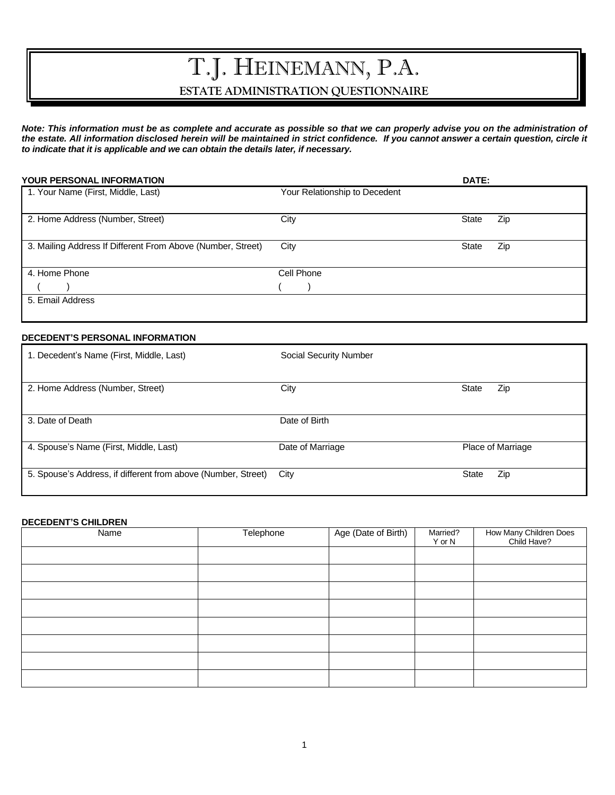# T.J. HEINEMANN, P.A. **ESTATE ADMINISTRATION QUESTIONNAIRE**

*Note: This information must be as complete and accurate as possible so that we can properly advise you on the administration of the estate. All information disclosed herein will be maintained in strict confidence. If you cannot answer a certain question, circle it to indicate that it is applicable and we can obtain the details later, if necessary.*

| <b>YOUR PERSONAL INFORMATION</b>                            |      |                               | <b>DATE:</b> |     |
|-------------------------------------------------------------|------|-------------------------------|--------------|-----|
| 1. Your Name (First, Middle, Last)                          |      | Your Relationship to Decedent |              |     |
| 2. Home Address (Number, Street)                            | City |                               | State        | Zip |
| 3. Mailing Address If Different From Above (Number, Street) | City |                               | State        | Zip |
| 4. Home Phone                                               |      | Cell Phone                    |              |     |
|                                                             |      |                               |              |     |
| 5. Email Address                                            |      |                               |              |     |

### **DECEDENT'S PERSONAL INFORMATION**

| 1. Decedent's Name (First, Middle, Last)                      | <b>Social Security Number</b> |                     |
|---------------------------------------------------------------|-------------------------------|---------------------|
| 2. Home Address (Number, Street)                              | City                          | Zip<br><b>State</b> |
| 3. Date of Death                                              | Date of Birth                 |                     |
| 4. Spouse's Name (First, Middle, Last)                        | Date of Marriage              | Place of Marriage   |
| 5. Spouse's Address, if different from above (Number, Street) | City                          | Zip<br><b>State</b> |

#### **DECEDENT'S CHILDREN**

| Name | Telephone | Age (Date of Birth) | Married?<br>$Y$ or $N$ | How Many Children Does<br>Child Have? |
|------|-----------|---------------------|------------------------|---------------------------------------|
|      |           |                     |                        |                                       |
|      |           |                     |                        |                                       |
|      |           |                     |                        |                                       |
|      |           |                     |                        |                                       |
|      |           |                     |                        |                                       |
|      |           |                     |                        |                                       |
|      |           |                     |                        |                                       |
|      |           |                     |                        |                                       |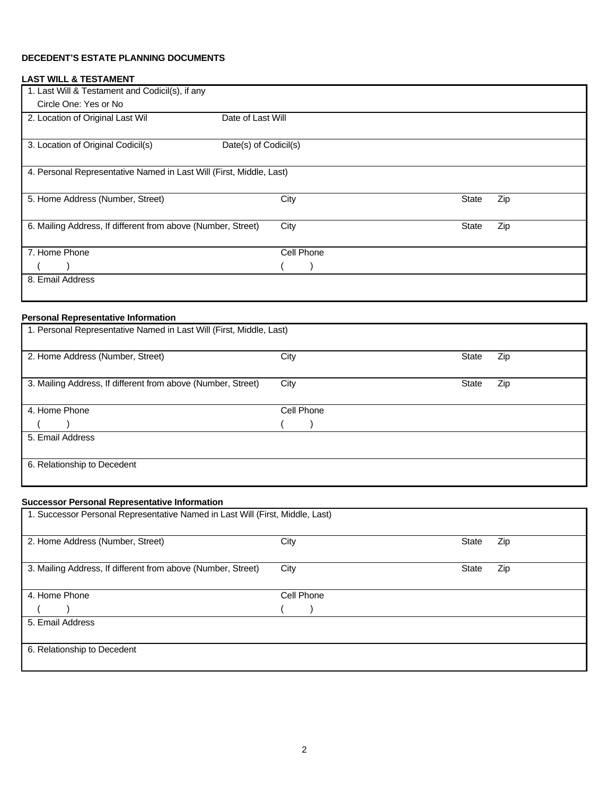# **DECEDENT'S ESTATE PLANNING DOCUMENTS**

# **LAST WILL & TESTAMENT**

| 1. Last Will & Testament and Codicil(s), if any                     |                       |              |     |
|---------------------------------------------------------------------|-----------------------|--------------|-----|
| Circle One: Yes or No                                               |                       |              |     |
| 2. Location of Original Last Wil                                    | Date of Last Will     |              |     |
|                                                                     |                       |              |     |
| 3. Location of Original Codicil(s)                                  | Date(s) of Codicil(s) |              |     |
|                                                                     |                       |              |     |
| 4. Personal Representative Named in Last Will (First, Middle, Last) |                       |              |     |
|                                                                     |                       |              |     |
| 5. Home Address (Number, Street)                                    | City                  | <b>State</b> | Zip |
|                                                                     |                       |              |     |
| 6. Mailing Address, If different from above (Number, Street)        | City                  | <b>State</b> | Zip |
|                                                                     |                       |              |     |
| 7. Home Phone                                                       | Cell Phone            |              |     |
|                                                                     |                       |              |     |
| 8. Email Address                                                    |                       |              |     |
|                                                                     |                       |              |     |

# **Personal Representative Information**

| 1. Personal Representative Named in Last Will (First, Middle, Last) |      |            |              |     |
|---------------------------------------------------------------------|------|------------|--------------|-----|
| 2. Home Address (Number, Street)                                    | City |            | <b>State</b> | Zip |
| 3. Mailing Address, If different from above (Number, Street)        | City |            | <b>State</b> | Zip |
| 4. Home Phone                                                       |      | Cell Phone |              |     |
|                                                                     |      |            |              |     |
| 5. Email Address                                                    |      |            |              |     |
| 6. Relationship to Decedent                                         |      |            |              |     |

### **Successor Personal Representative Information**

| 1. Successor Personal Representative Named in Last Will (First, Middle, Last) |            |              |     |
|-------------------------------------------------------------------------------|------------|--------------|-----|
| 2. Home Address (Number, Street)                                              | City       | <b>State</b> | Zip |
| 3. Mailing Address, If different from above (Number, Street)                  | City       | <b>State</b> | Zip |
| 4. Home Phone                                                                 | Cell Phone |              |     |
|                                                                               |            |              |     |
| 5. Email Address                                                              |            |              |     |
| 6. Relationship to Decedent                                                   |            |              |     |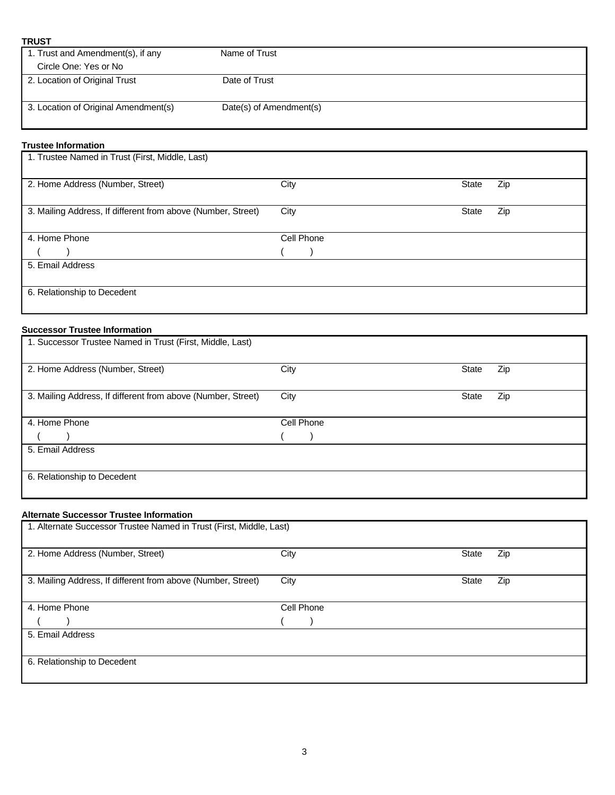| <b>TRUST</b>                         |                         |  |
|--------------------------------------|-------------------------|--|
| 1. Trust and Amendment(s), if any    | Name of Trust           |  |
| Circle One: Yes or No                |                         |  |
| 2. Location of Original Trust        | Date of Trust           |  |
| 3. Location of Original Amendment(s) | Date(s) of Amendment(s) |  |

# **Trustee Information**

| 1. Trustee Named in Trust (First, Middle, Last)              |            |                     |
|--------------------------------------------------------------|------------|---------------------|
| 2. Home Address (Number, Street)                             | City       | Zip<br><b>State</b> |
| 3. Mailing Address, If different from above (Number, Street) | City       | Zip<br><b>State</b> |
| 4. Home Phone                                                | Cell Phone |                     |
|                                                              |            |                     |
| 5. Email Address                                             |            |                     |
|                                                              |            |                     |
| 6. Relationship to Decedent                                  |            |                     |

# **Successor Trustee Information**

| 1. Successor Trustee Named in Trust (First, Middle, Last)    |      |            |              |     |
|--------------------------------------------------------------|------|------------|--------------|-----|
| 2. Home Address (Number, Street)                             | City |            | <b>State</b> | Zip |
| 3. Mailing Address, If different from above (Number, Street) | City |            | <b>State</b> | Zip |
| 4. Home Phone                                                |      | Cell Phone |              |     |
|                                                              |      |            |              |     |
| 5. Email Address                                             |      |            |              |     |
| 6. Relationship to Decedent                                  |      |            |              |     |

# **Alternate Successor Trustee Information**

| 1. Alternate Successor Trustee Named in Trust (First, Middle, Last) |            |       |     |
|---------------------------------------------------------------------|------------|-------|-----|
| 2. Home Address (Number, Street)                                    | City       | State | Zip |
| 3. Mailing Address, If different from above (Number, Street)        | City       | State | Zip |
| 4. Home Phone                                                       | Cell Phone |       |     |
|                                                                     |            |       |     |
| 5. Email Address                                                    |            |       |     |
| 6. Relationship to Decedent                                         |            |       |     |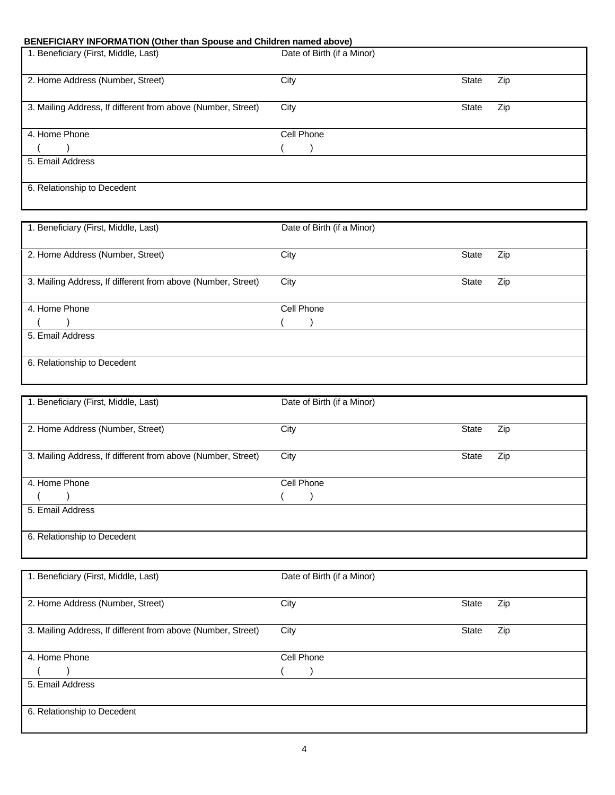# **BENEFICIARY INFORMATION (Other than Spouse and Children named above)**

| Zip |
|-----|
|     |
| Zip |
|     |
|     |
|     |
|     |
|     |
|     |

| 1. Beneficiary (First, Middle, Last)                         | Date of Birth (if a Minor) |       |     |
|--------------------------------------------------------------|----------------------------|-------|-----|
| 2. Home Address (Number, Street)                             | City                       | State | Zip |
| 3. Mailing Address, If different from above (Number, Street) | City                       | State | Zip |
| 4. Home Phone                                                | Cell Phone                 |       |     |
|                                                              |                            |       |     |
| 5. Email Address                                             |                            |       |     |
| 6. Relationship to Decedent                                  |                            |       |     |

| 1. Beneficiary (First, Middle, Last)                         | Date of Birth (if a Minor) |              |     |
|--------------------------------------------------------------|----------------------------|--------------|-----|
| 2. Home Address (Number, Street)                             | City                       | State        | Zip |
| 3. Mailing Address, If different from above (Number, Street) | City                       | <b>State</b> | Zip |
| 4. Home Phone                                                | Cell Phone                 |              |     |
|                                                              |                            |              |     |
| 5. Email Address                                             |                            |              |     |
| 6. Relationship to Decedent                                  |                            |              |     |

| 1. Beneficiary (First, Middle, Last)                         | Date of Birth (if a Minor) |              |     |
|--------------------------------------------------------------|----------------------------|--------------|-----|
| 2. Home Address (Number, Street)                             | City                       | <b>State</b> | Zip |
|                                                              |                            |              |     |
| 3. Mailing Address, If different from above (Number, Street) | City                       | <b>State</b> | Zip |
| 4. Home Phone                                                | Cell Phone                 |              |     |
|                                                              |                            |              |     |
| 5. Email Address                                             |                            |              |     |
|                                                              |                            |              |     |
| 6. Relationship to Decedent                                  |                            |              |     |
|                                                              |                            |              |     |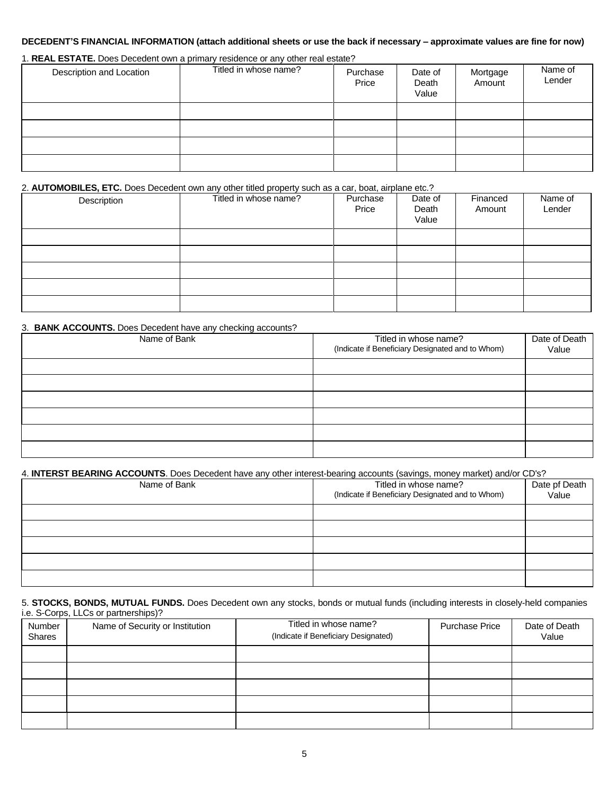### **DECEDENT'S FINANCIAL INFORMATION (attach additional sheets or use the back if necessary – approximate values are fine for now)**

# 1. **REAL ESTATE.** Does Decedent own a primary residence or any other real estate?

| Description and Location | Titled in whose name? | Purchase<br>Price | Date of<br>Death<br>Value | Mortgage<br>Amount | Name of<br>Lender |
|--------------------------|-----------------------|-------------------|---------------------------|--------------------|-------------------|
|                          |                       |                   |                           |                    |                   |
|                          |                       |                   |                           |                    |                   |
|                          |                       |                   |                           |                    |                   |
|                          |                       |                   |                           |                    |                   |

#### 2. **AUTOMOBILES, ETC.** Does Decedent own any other titled property such as a car, boat, airplane etc.?

| Description | Titled in whose name? | Purchase<br>Price | Date of<br>Death<br>Value | Financed<br>Amount | Name of<br>Lender |
|-------------|-----------------------|-------------------|---------------------------|--------------------|-------------------|
|             |                       |                   |                           |                    |                   |
|             |                       |                   |                           |                    |                   |
|             |                       |                   |                           |                    |                   |
|             |                       |                   |                           |                    |                   |
|             |                       |                   |                           |                    |                   |

#### 3. **BANK ACCOUNTS.** Does Decedent have any checking accounts?

| Name of Bank | Titled in whose name?<br>(Indicate if Beneficiary Designated and to Whom) | Date of Death<br>Value |
|--------------|---------------------------------------------------------------------------|------------------------|
|              |                                                                           |                        |
|              |                                                                           |                        |
|              |                                                                           |                        |
|              |                                                                           |                        |
|              |                                                                           |                        |
|              |                                                                           |                        |
|              |                                                                           |                        |

#### 4. **INTERST BEARING ACCOUNTS**. Does Decedent have any other interest-bearing accounts (savings, money market) and/or CD's?

| Name of Bank | Titled in whose name?<br>(Indicate if Beneficiary Designated and to Whom) | Date pf Death<br>Value |  |  |
|--------------|---------------------------------------------------------------------------|------------------------|--|--|
|              |                                                                           |                        |  |  |
|              |                                                                           |                        |  |  |
|              |                                                                           |                        |  |  |
|              |                                                                           |                        |  |  |
|              |                                                                           |                        |  |  |

#### 5. **STOCKS, BONDS, MUTUAL FUNDS.** Does Decedent own any stocks, bonds or mutual funds (including interests in closely-held companies i.e. S-Corps, LLCs or partnerships)?

| Number<br>Shares | Name of Security or Institution | Titled in whose name?<br>(Indicate if Beneficiary Designated) | <b>Purchase Price</b> | Date of Death<br>Value |
|------------------|---------------------------------|---------------------------------------------------------------|-----------------------|------------------------|
|                  |                                 |                                                               |                       |                        |
|                  |                                 |                                                               |                       |                        |
|                  |                                 |                                                               |                       |                        |
|                  |                                 |                                                               |                       |                        |
|                  |                                 |                                                               |                       |                        |